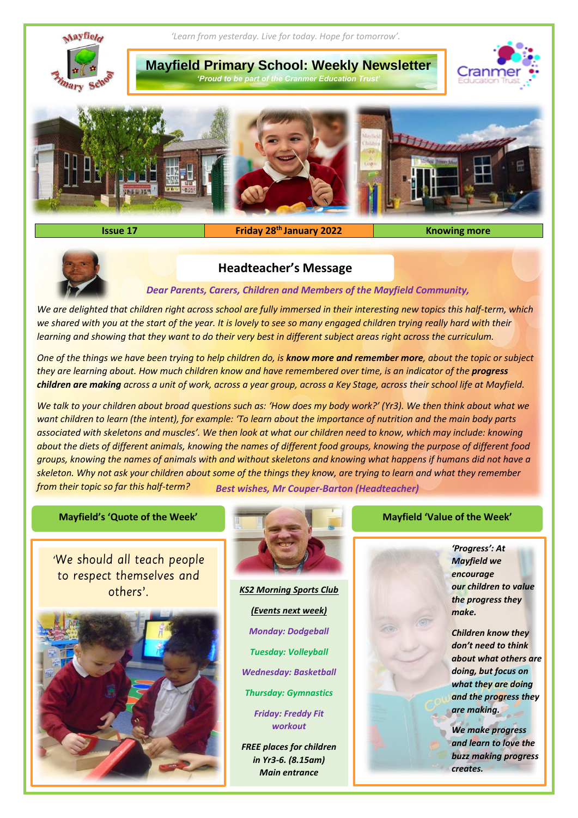

## **Issue 17 Friday 28 th January 2022 Knowing more**



# **Headteacher's Message**

*Dear Parents, Carers, Children and Members of the Mayfield Community,*

*We are delighted that children right across school are fully immersed in their interesting new topics this half-term, which we shared with you at the start of the year. It is lovely to see so many engaged children trying really hard with their learning and showing that they want to do their very best in different subject areas right across the curriculum.*

*One of the things we have been trying to help children do, is know more and remember more, about the topic or subject they are learning about. How much children know and have remembered over time, is an indicator of the progress children are making across a unit of work, across a year group, across a Key Stage, across their school life at Mayfield.* 

*We talk to your children about broad questions such as: 'How does my body work?' (Yr3). We then think about what we want children to learn (the intent), for example: 'To learn about the importance of nutrition and the main body parts associated with skeletons and muscles'. We then look at what our children need to know, which may include: knowing about the diets of different animals, knowing the names of different food groups, knowing the purpose of different food groups, knowing the names of animals with and without skeletons and knowing what happens if humans did not have a skeleton. Why not ask your children about some of the things they know, are trying to learn and what they remember from their topic so far this half-term? Best wishes, Mr Couper-Barton (Headteacher)*

### **Mayfield's 'Quote of the Week' Mayfield 'Value of the Week'**

'We should all teach people to respect themselves and others'.





*KS2 Morning Sports Club (Events next week) Monday: Dodgeball Tuesday: Volleyball Wednesday: Basketball Thursday: Gymnastics*

> *Friday: Freddy Fit workout*

*FREE places for children in Yr3-6. (8.15am) Main entrance*

*'Progress': At Mayfield we encourage our children to value the progress they make.* 

*Children know they don't need to think about what others are doing, but focus on what they are doing and the progress they are making.* 

*We make progress and learn to love the buzz making progress creates.*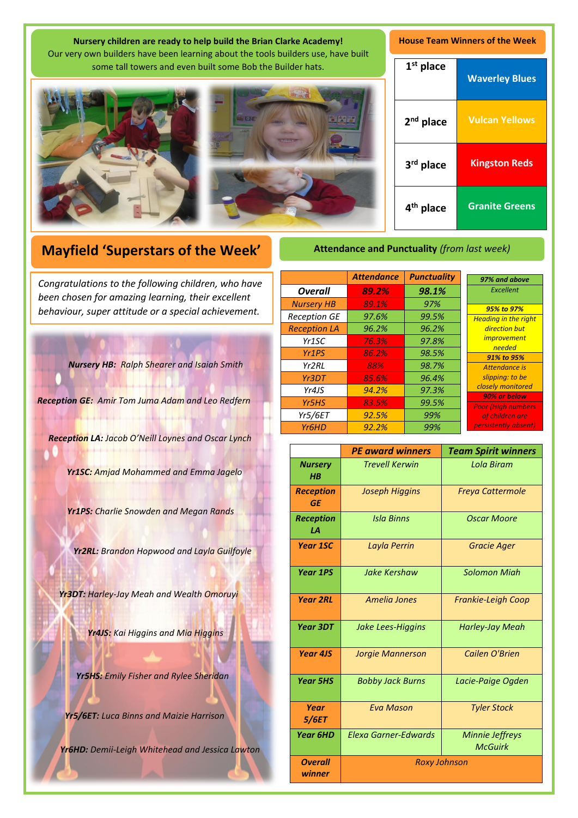| Nursery children are ready to help build the Brian Clarke Academy!<br>Our very own builders have been learning about the tools builders use, have built | <b>House Team Winners of the Week</b> |                       |
|---------------------------------------------------------------------------------------------------------------------------------------------------------|---------------------------------------|-----------------------|
| some tall towers and even built some Bob the Builder hats.                                                                                              |                                       | <b>Waverley Blues</b> |
| $\circ$                                                                                                                                                 | $2nd$ place                           | <b>Vulcan Yellows</b> |
|                                                                                                                                                         | 3 <sup>rd</sup> place                 | <b>Kingston Reds</b>  |
|                                                                                                                                                         | 4 <sup>th</sup> place                 | <b>Granite Greens</b> |

# **Mayfield 'Superstars of the Week'**

A *been chosen for amazing learning, their excellent Congratulations to the following children, who have behaviour, super attitude or a special achievement.*

*Nursery HB: Ralph Shearer and Isaiah Smith*

*Reception GE: Amir Tom Juma Adam and Leo Redfern*

*Reception LA: Jacob O'Neill Loynes and Oscar Lynch* 

*Yr1SC: Amjad Mohammed and Emma Jagelo*

*Yr1PS: Charlie Snowden and Megan Rands*

*Yr2RL: Brandon Hopwood and Layla Guilfoyle*

*Yr3DT: Harley-Jay Meah and Wealth Omoruyi*

*Yr4JS: Kai Higgins and Mia Higgins*

*Yr5HS: Emily Fisher and Rylee Sheridan*

*Yr5/6ET: Luca Binns and Maizie Harrison*

*Yr6HD: Demii-Leigh Whitehead and Jessica Lawton*

**Attendance and Punctuality** *(from last week)*

|                     | <b>Attendance</b> | <b>Punctuality</b> | 97% and above                              |
|---------------------|-------------------|--------------------|--------------------------------------------|
| <b>Overall</b>      | 89.2%             | 98.1%              | Excellent                                  |
| <b>Nursery HB</b>   | 89.1%             | 97%                | 95% to 97%                                 |
| <b>Reception GE</b> | 97.6%             | 99.5%              | <b>Heading in the right</b>                |
| <b>Reception LA</b> | 96.2%             | 96.2%              | direction but                              |
| Yr <sub>1</sub> SC  | 76.3%             | 97.8%              | <i>improvement</i><br>needed<br>91% to 95% |
| Yr <sub>1</sub> PS  | 86.2%             | 98.5%              |                                            |
| Yr2RL               | 88%               | 98.7%              | Attendance is                              |
| Yr3DT               | 85.6%             | 96.4%              | slipping: to be                            |
| Yr4JS               | 94.2%             | 97.3%              | closely monitored                          |
| Yr5HS               | 83.5%             | 99.5%              | 90% or below<br><b>Poor (High numbers)</b> |
| <b>Yr5/6ET</b>      | 92.5%             | 99%                | of children are                            |
| Yr <sub>6</sub> HD  | 92.2%             | 99%                | persistently absent)                       |

|                               | <b>PE award winners</b> | <b>Team Spirit winners</b>               |  |
|-------------------------------|-------------------------|------------------------------------------|--|
| <b>Nursery</b><br>$H$ $B$     | <b>Trevell Kerwin</b>   | Lola Biram                               |  |
| <b>Reception</b><br><b>GE</b> | Joseph Higgins          | <b>Freya Cattermole</b>                  |  |
| <b>Reception</b><br>1А        | <b>Isla Binns</b>       | Oscar Moore                              |  |
| <b>Year 1SC</b>               | Layla Perrin            | <b>Gracie Ager</b>                       |  |
| <b>Year 1PS</b>               | Jake Kershaw            | <b>Solomon Migh</b>                      |  |
| <b>Year 2RL</b>               | Amelia Jones            | <b>Frankie-Leigh Coop</b>                |  |
| <b>Year 3DT</b>               | Jake Lees-Higgins       | <b>Harley-Jay Meah</b>                   |  |
| Year 4JS                      | <b>Jorgie Mannerson</b> | Cailen O'Brien                           |  |
| <b>Year 5HS</b>               | <b>Bobby Jack Burns</b> | Lacie-Paige Ogden                        |  |
| Year<br>5/6ET                 | <b>Eva Mason</b>        | <b>Tyler Stock</b>                       |  |
| <b>Year 6HD</b>               | Elexa Garner-Edwards    | <b>Minnie Jeffreys</b><br><b>McGuirk</b> |  |
| <b>Overall</b><br>winner      | <b>Roxy Johnson</b>     |                                          |  |